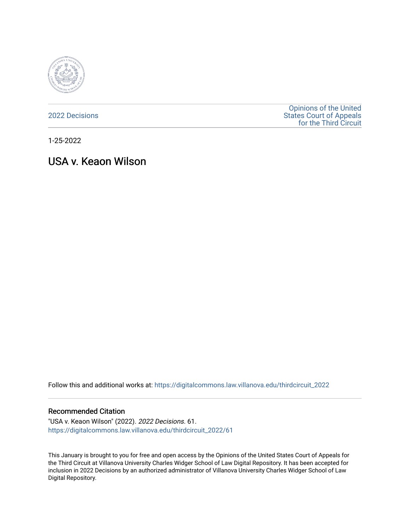

[2022 Decisions](https://digitalcommons.law.villanova.edu/thirdcircuit_2022)

[Opinions of the United](https://digitalcommons.law.villanova.edu/thirdcircuit)  [States Court of Appeals](https://digitalcommons.law.villanova.edu/thirdcircuit)  [for the Third Circuit](https://digitalcommons.law.villanova.edu/thirdcircuit) 

1-25-2022

# USA v. Keaon Wilson

Follow this and additional works at: [https://digitalcommons.law.villanova.edu/thirdcircuit\\_2022](https://digitalcommons.law.villanova.edu/thirdcircuit_2022?utm_source=digitalcommons.law.villanova.edu%2Fthirdcircuit_2022%2F61&utm_medium=PDF&utm_campaign=PDFCoverPages) 

#### Recommended Citation

"USA v. Keaon Wilson" (2022). 2022 Decisions. 61. [https://digitalcommons.law.villanova.edu/thirdcircuit\\_2022/61](https://digitalcommons.law.villanova.edu/thirdcircuit_2022/61?utm_source=digitalcommons.law.villanova.edu%2Fthirdcircuit_2022%2F61&utm_medium=PDF&utm_campaign=PDFCoverPages)

This January is brought to you for free and open access by the Opinions of the United States Court of Appeals for the Third Circuit at Villanova University Charles Widger School of Law Digital Repository. It has been accepted for inclusion in 2022 Decisions by an authorized administrator of Villanova University Charles Widger School of Law Digital Repository.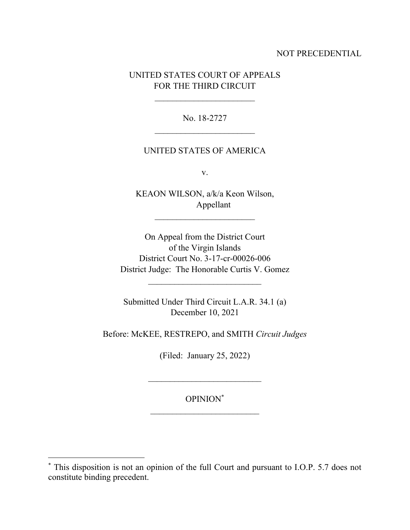## NOT PRECEDENTIAL

# UNITED STATES COURT OF APPEALS FOR THE THIRD CIRCUIT

 $\overline{\phantom{a}}$  , where  $\overline{\phantom{a}}$ 

No. 18-2727

### UNITED STATES OF AMERICA

v.

KEAON WILSON, a/k/a Keon Wilson, Appellant

On Appeal from the District Court of the Virgin Islands District Court No. 3-17-cr-00026-006 District Judge: The Honorable Curtis V. Gomez

Submitted Under Third Circuit L.A.R. 34.1 (a) December 10, 2021

Before: McKEE, RESTREPO, and SMITH *Circuit Judges*

(Filed: January 25, 2022)

## OPINION\*

 $\mathcal{L}_\text{max}$ 

<sup>\*</sup> This disposition is not an opinion of the full Court and pursuant to I.O.P. 5.7 does not constitute binding precedent.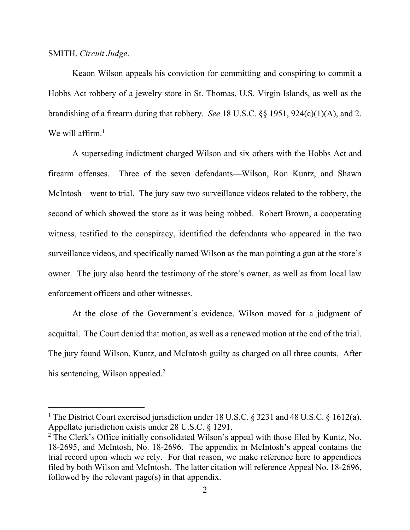#### SMITH, *Circuit Judge*.

Keaon Wilson appeals his conviction for committing and conspiring to commit a Hobbs Act robbery of a jewelry store in St. Thomas, U.S. Virgin Islands, as well as the brandishing of a firearm during that robbery. *See* 18 U.S.C. §§ 1951, 924(c)(1)(A), and 2. We will affirm.<sup>1</sup>

A superseding indictment charged Wilson and six others with the Hobbs Act and firearm offenses. Three of the seven defendants—Wilson, Ron Kuntz, and Shawn McIntosh—went to trial. The jury saw two surveillance videos related to the robbery, the second of which showed the store as it was being robbed. Robert Brown, a cooperating witness, testified to the conspiracy, identified the defendants who appeared in the two surveillance videos, and specifically named Wilson as the man pointing a gun at the store's owner. The jury also heard the testimony of the store's owner, as well as from local law enforcement officers and other witnesses.

At the close of the Government's evidence, Wilson moved for a judgment of acquittal. The Court denied that motion, as well as a renewed motion at the end of the trial. The jury found Wilson, Kuntz, and McIntosh guilty as charged on all three counts. After his sentencing, Wilson appealed.<sup>2</sup>

<sup>&</sup>lt;sup>1</sup> The District Court exercised jurisdiction under 18 U.S.C. § 3231 and 48 U.S.C. § 1612(a). Appellate jurisdiction exists under 28 U.S.C. § 1291.

<sup>2</sup> The Clerk's Office initially consolidated Wilson's appeal with those filed by Kuntz, No. 18-2695, and McIntosh, No. 18-2696. The appendix in McIntosh's appeal contains the trial record upon which we rely. For that reason, we make reference here to appendices filed by both Wilson and McIntosh. The latter citation will reference Appeal No. 18-2696, followed by the relevant page(s) in that appendix.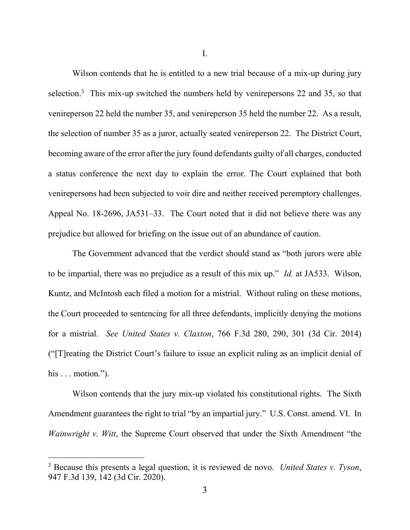I.

Wilson contends that he is entitled to a new trial because of a mix-up during jury selection.<sup>3</sup> This mix-up switched the numbers held by venirepersons 22 and 35, so that venireperson 22 held the number 35, and venireperson 35 held the number 22. As a result, the selection of number 35 as a juror, actually seated venireperson 22. The District Court, becoming aware of the error after the jury found defendants guilty of all charges, conducted a status conference the next day to explain the error. The Court explained that both venirepersons had been subjected to voir dire and neither received peremptory challenges. Appeal No. 18-2696, JA531–33. The Court noted that it did not believe there was any prejudice but allowed for briefing on the issue out of an abundance of caution.

The Government advanced that the verdict should stand as "both jurors were able to be impartial, there was no prejudice as a result of this mix up." *Id.* at JA533. Wilson, Kuntz, and McIntosh each filed a motion for a mistrial. Without ruling on these motions, the Court proceeded to sentencing for all three defendants, implicitly denying the motions for a mistrial. *See United States v. Claxton*, 766 F.3d 280, 290, 301 (3d Cir. 2014) ("[T]reating the District Court's failure to issue an explicit ruling as an implicit denial of his . . . motion.").

Wilson contends that the jury mix-up violated his constitutional rights. The Sixth Amendment guarantees the right to trial "by an impartial jury." U.S. Const. amend. VI. In *Wainwright v. Witt*, the Supreme Court observed that under the Sixth Amendment "the

<sup>3</sup> Because this presents a legal question, it is reviewed de novo. *United States v. Tyson*, 947 F.3d 139, 142 (3d Cir. 2020).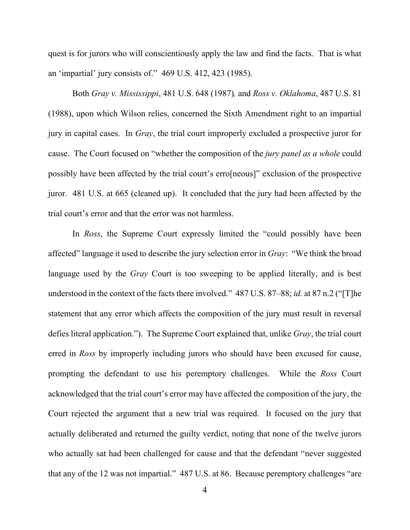quest is for jurors who will conscientiously apply the law and find the facts. That is what an 'impartial' jury consists of." 469 U.S. 412, 423 (1985).

Both *Gray v. Mississippi*, 481 U.S. 648 (1987)*,* and *Ross v. Oklahoma*, 487 U.S. 81 (1988), upon which Wilson relies, concerned the Sixth Amendment right to an impartial jury in capital cases. In *Gray*, the trial court improperly excluded a prospective juror for cause. The Court focused on "whether the composition of the *jury panel as a whole* could possibly have been affected by the trial court's erro[neous]" exclusion of the prospective juror. 481 U.S. at 665 (cleaned up). It concluded that the jury had been affected by the trial court's error and that the error was not harmless.

In *Ross*, the Supreme Court expressly limited the "could possibly have been affected" language it used to describe the jury selection error in *Gray*: "We think the broad language used by the *Gray* Court is too sweeping to be applied literally, and is best understood in the context of the facts there involved." 487 U.S. 87–88; *id.* at 87 n.2 ("[T]he statement that any error which affects the composition of the jury must result in reversal defies literal application."). The Supreme Court explained that, unlike *Gray*, the trial court erred in *Ross* by improperly including jurors who should have been excused for cause, prompting the defendant to use his peremptory challenges. While the *Ross* Court acknowledged that the trial court's error may have affected the composition of the jury, the Court rejected the argument that a new trial was required. It focused on the jury that actually deliberated and returned the guilty verdict, noting that none of the twelve jurors who actually sat had been challenged for cause and that the defendant "never suggested that any of the 12 was not impartial." 487 U.S. at 86. Because peremptory challenges "are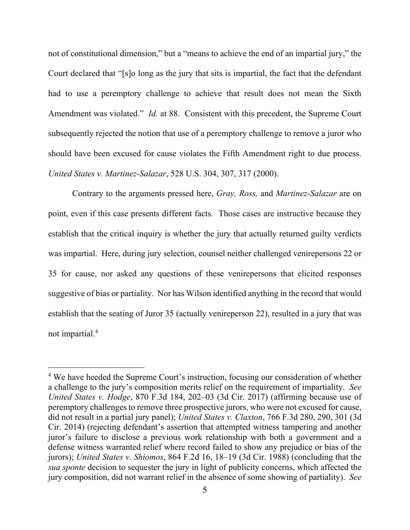not of constitutional dimension," but a "means to achieve the end of an impartial jury," the Court declared that "[s]o long as the jury that sits is impartial, the fact that the defendant had to use a peremptory challenge to achieve that result does not mean the Sixth Amendment was violated." *Id.* at 88. Consistent with this precedent, the Supreme Court subsequently rejected the notion that use of a peremptory challenge to remove a juror who should have been excused for cause violates the Fifth Amendment right to due process. *United States v. Martinez-Salazar*, 528 U.S. 304, 307, 317 (2000).

Contrary to the arguments pressed here, *Gray, Ross,* and *Martinez-Salazar* are on point, even if this case presents different facts. Those cases are instructive because they establish that the critical inquiry is whether the jury that actually returned guilty verdicts was impartial. Here, during jury selection, counsel neither challenged venirepersons 22 or 35 for cause, nor asked any questions of these venirepersons that elicited responses suggestive of bias or partiality. Nor has Wilson identified anything in the record that would establish that the seating of Juror 35 (actually venireperson 22), resulted in a jury that was not impartial.<sup>4</sup>

<sup>&</sup>lt;sup>4</sup> We have heeded the Supreme Court's instruction, focusing our consideration of whether a challenge to the jury's composition merits relief on the requirement of impartiality. *See United States v. Hodge*, 870 F.3d 184, 202–03 (3d Cir. 2017) (affirming because use of peremptory challenges to remove three prospective jurors, who were not excused for cause, did not result in a partial jury panel); *United States v. Claxton*, 766 F.3d 280, 290, 301 (3d Cir. 2014) (rejecting defendant's assertion that attempted witness tampering and another juror's failure to disclose a previous work relationship with both a government and a defense witness warranted relief where record failed to show any prejudice or bias of the jurors); *United States v. Shiomos*, 864 F.2d 16, 18–19 (3d Cir. 1988) (concluding that the *sua sponte* decision to sequester the jury in light of publicity concerns, which affected the jury composition, did not warrant relief in the absence of some showing of partiality). *See*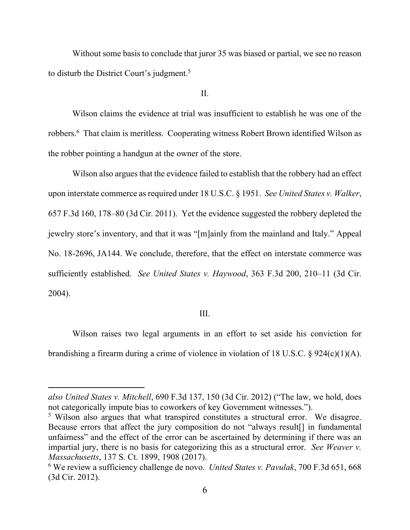Without some basis to conclude that juror 35 was biased or partial, we see no reason to disturb the District Court's judgment.<sup>5</sup>

II.

Wilson claims the evidence at trial was insufficient to establish he was one of the robbers.<sup>6</sup> That claim is meritless. Cooperating witness Robert Brown identified Wilson as the robber pointing a handgun at the owner of the store.

Wilson also argues that the evidence failed to establish that the robbery had an effect upon interstate commerce as required under 18 U.S.C. § 1951. *See United States v. Walker*, 657 F.3d 160, 178–80 (3d Cir. 2011). Yet the evidence suggested the robbery depleted the jewelry store's inventory, and that it was "[m]ainly from the mainland and Italy." Appeal No. 18-2696, JA144. We conclude, therefore, that the effect on interstate commerce was sufficiently established. *See United States v. Haywood*, 363 F.3d 200, 210–11 (3d Cir. 2004).

#### III.

Wilson raises two legal arguments in an effort to set aside his conviction for brandishing a firearm during a crime of violence in violation of 18 U.S.C. § 924(c)(1)(A).

*also United States v. Mitchell*, 690 F.3d 137, 150 (3d Cir. 2012) ("The law, we hold, does not categorically impute bias to coworkers of key Government witnesses.").

<sup>&</sup>lt;sup>5</sup> Wilson also argues that what transpired constitutes a structural error. We disagree. Because errors that affect the jury composition do not "always result[] in fundamental unfairness" and the effect of the error can be ascertained by determining if there was an impartial jury, there is no basis for categorizing this as a structural error. *See Weaver v. Massachusetts*, 137 S. Ct. 1899, 1908 (2017).

<sup>6</sup> We review a sufficiency challenge de novo. *United States v. Pavulak*, 700 F.3d 651, 668 (3d Cir. 2012).